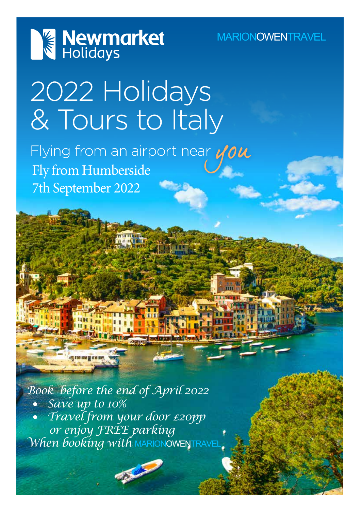

**MARIONOWENTRAVEL** 

# 2022 Holidays & Tours to Italy

Flying from an airport near  $y \circ u$ <br>Fly from Humberside 7th September 2022

*Book before the end of April 2022* • *Save up to 10%* • *Travel from your door £20pp or enjoy FREE parking When booking with* MARIONOWENTRAVEL

**ASSESS**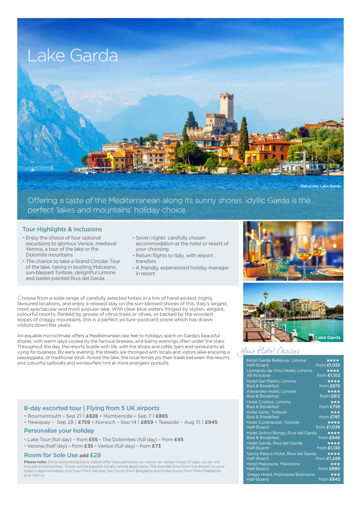

Offering a taste of the Mediterranean along its sunny shores, idyllic Garda is the perfect 'lakes and mountains' holiday choice.

### Tour Highlights & Inclusions

- Enjoy the choice of four optional excursions to glorious Venice, medieval Verona, a tour of the lake or the Dolomite mountains
- The chance to take a Grand Circular Tour of the lake, taking in bustling Malcesine, sun-blessed Torbole, delightful Limone and pastel-painted Riva del Garda
- Seven nights' carefully chosen accommodation at the hotel or resort of your choosing
- Return flights to Italy, with airport transfers
- A friendly, experienced holiday manager in resort

choose from a wide range of carefully selected hotels in a trio of hand-picked, highly favoured locations, and enjoy a relaxed stay on the sun-blessed shores of this, Italy's largest, most spectacular and most popular lake. With clear blue waters fringed by stylish, elegant, colourful resorts, flanked by groves of citrus trees or olives, or backed by the wooded slopes of craggy mountains, this is a perfect picture-postcard scene which has drawn visitors down the years.

An equable microclimate offers a Mediterranean-like feel to holidays spent on Garda's beautiful shores, with warm days cooled by the famous breezes, and balmy evenings often under the stars. Throughout the day, the resorts bustle with life, with the shops and cafés, bars and restaurants all vying for business. By early evening, the streets are thronged with locals and vistors alike enjoying a passeggiata, or traditional stroll. Across the lake, the local ferries ply their trade between the resorts, and colourful sailboats and windsurfers hint at more energetic pursuits.

### 8-day escorted tour | Flying from 5 UK airports

- Bournemouth Sep 21 | £828 Humberside Sep 7 | £885
- Newquay Sep 28 | £759 Norwich Sep 14 | £859 Teesside Aug 31 | £945

### Personalise your holiday

- Lake Tour (full day) from £55 The Dolomites (full day) from £45
- Verona (half day) from £35 Venice (full day) from £73

### Room for Sole Use add £28

Please note: Since some attractions visited offer free admission to visitors at certain times of year, we do not include entrance fees. These will be payable locally where applicable. The transfer time from the airport to your hotel is approximately one hour from Verona, two hours from Bergamo and three hours from Milan Malpensa and Venice.





### Your Hotel Choices

| Hotel Garda Bellevue, Limone       | ****               |
|------------------------------------|--------------------|
| Half-Board                         | from <b>£1,032</b> |
| Leonardo da Vinci Hotel, Limone    | ****               |
| <b>All Inclusive</b>               | from <b>£1,102</b> |
| <b>Hotel San Pietro, Limone</b>    | ****               |
| <b>Bed &amp; Breakfast</b>         | from £878          |
| Alexander Hotel, Limone            | ****               |
| <b>Bed &amp; Breakfast</b>         | from £912          |
| <b>Hotel Cristina, Limone</b>      | ★★★                |
| <b>Bed &amp; Breakfast</b>         | from £759          |
| <b>Hotel Geier, Torbole</b>        | $\star\star\star$  |
| <b>Bed &amp; Breakfast</b>         | from £787          |
| <b>Hotel Continental, Torbole</b>  | ****               |
| Half-Board                         | from £1,039        |
| Hotel Antico Borgo, Riva del Garda | ****               |
| <b>Bed &amp; Breakfast</b>         | from £948          |
| Hotel Garda, Riva del Garda        | ****               |
| Half-Board                         | from <b>£1,130</b> |
| Savoy Palace Hotel, Riva del Garda | ****               |
| Half-Board                         | from £1,249        |
| <b>Hotel Malcesine, Malcesine</b>  | $\star\star\star$  |
| Half-Board                         | from £990          |
| Drago Hotel, Malcesine/Brenzone    | ★★★                |
| Half-Board                         | from £842          |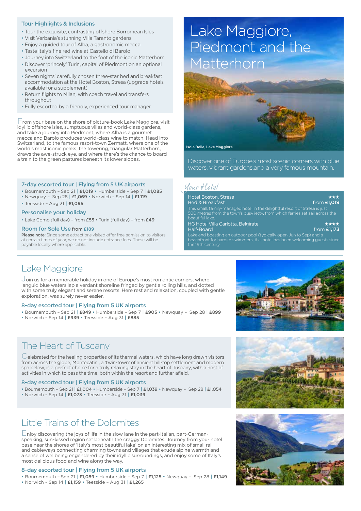### Tour Highlights & Inclusions

- Tour the exquisite, contrasting offshore Borromean Isles
- Visit Verbania's stunning Villa Taranto gardens
- Enjoy a guided tour of Alba, a gastronomic mecca
- Taste Italy's fine red wine at Castello di Barolo
- Journey into Switzerland to the foot of the iconic Matterhorn
- Discover 'princely' Turin, capital of Piedmont on an optional excursion
- Seven nights' carefully chosen three-star bed and breakfast accommodation at the Hotel Boston, Stresa (upgrade hotels available for a supplement)
- Return flights to Milan, with coach travel and transfers throughout
- Fully escorted by a friendly, experienced tour manager

 $\mathsf F$  rom your base on the shore of picture-book Lake Maggiore, visit idyllic offshore isles, sumptuous villas and world-class gardens, and take a journey into Piedmont, where Alba is a gourmet mecca and Barolo produces world-class wine to match. Head into Switzerland, to the famous resort-town Zermatt, where one of the world's most iconic peaks, the towering, triangular Matterhorn, draws the awe-struck eye, and where there's the chance to board a train to the green pastures beneath its lower slopes.

#### 7-day escorted tour | Flying from 5 UK airports

- Bournemouth Sep 21 | £1,019 Humberside Sep 7 | £1,085
- Newquay Sep 28 | £1,069 Norwich Sep 14 | £1,119
- Teesside Aug 31 | £1,095

#### Personalise your holiday

• Lake Como (full day) – from £55 • Turin (full day) – from £49

#### Room for Sole Use from £189

Please note: Since some attractions visited offer free admission to visitors at certain times of year, we do not include entrance fees. These will be payable locally where applicable.

## Lake Maggiore, Piedmont and the Matterhorn



Discover one of Europe's most scenic corners with blue waters, vibrant gardens,and a very famous mountain.

### Your Hotel

the 19th century.

| <b>Hotel Boston, Stresa</b>                                                                                                                                                     | $\star\star\star$ |
|---------------------------------------------------------------------------------------------------------------------------------------------------------------------------------|-------------------|
| <b>Bed &amp; Breakfast</b>                                                                                                                                                      | from £1.019       |
| This small, family-managed hotel in the delightful resort of Stresa is just<br>500 metres from the town's busy jetty, from which ferries set sail across the<br>beautiful lake. |                   |
| <b>HG Hotel Villa Carlotta, Belgirate</b>                                                                                                                                       | ****              |
| Half-Board                                                                                                                                                                      | from $£1.173$     |
| Lake and boasting an outdoor pool (typically open Jun to Sep) and a                                                                                                             |                   |

chfront for hardier swimmers, this hotel has been welcoming guests since

### Lake Maggiore

Join us for a memorable holiday in one of Europe's most romantic corners, where languid blue waters lap a verdant shoreline fringed by gentle rolling hills, and dotted with some truly elegant and serene resorts. Here rest and relaxation, coupled with gentle exploration, was surely never easier.

#### 8-day escorted tour | Flying from 5 UK airports

- Bournemouth Sep 21 | £849 Humberside Sep 7 | £905 Newquay Sep 28 | £899
- Norwich Sep 14 | £939 Teesside Aug 31 | £885

### The Heart of Tuscany

Celebrated for the healing properties of its thermal waters, which have long drawn visitors from across the globe, Montecatini, a 'twin-town' of ancient hill-top settlement and modern spa below, is a perfect choice for a truly relaxing stay in the heart of Tuscany, with a host of activities in which to pass the time, both within the resort and further afield.

#### 8-day escorted tour | Flying from 5 UK airports

• Bournemouth – Sep 21 | £1,004 • Humberside – Sep 7 | £1,039 • Newquay – Sep 28 | £1,054 • Norwich – Sep 14 | £1,073 • Teesside – Aug 31 | £1,039

### Little Trains of the Dolomites

Enjoy discovering the joys of life in the slow lane in the part-Italian, part-Germanspeaking, sun-kissed region set beneath the craggy Dolomites. Journey from your hotel base near the shores of 'Italy's most beautiful lake' on an interesting mix of small rail and cableways connecting charming towns and villages that exude alpine warmth and a sense of wellbeing engendered by their idyllic surroundings, and enjoy some of Italy's most delicious food and wine along the way.

#### 8-day escorted tour | Flying from 5 UK airports

• Bournemouth – Sep 21 | £1,089 • Humberside – Sep 7 | £1,125 • Newquay – Sep 28 | £1,149 • Norwich – Sep 14 | £1,159 • Teesside – Aug 31 | £1,265